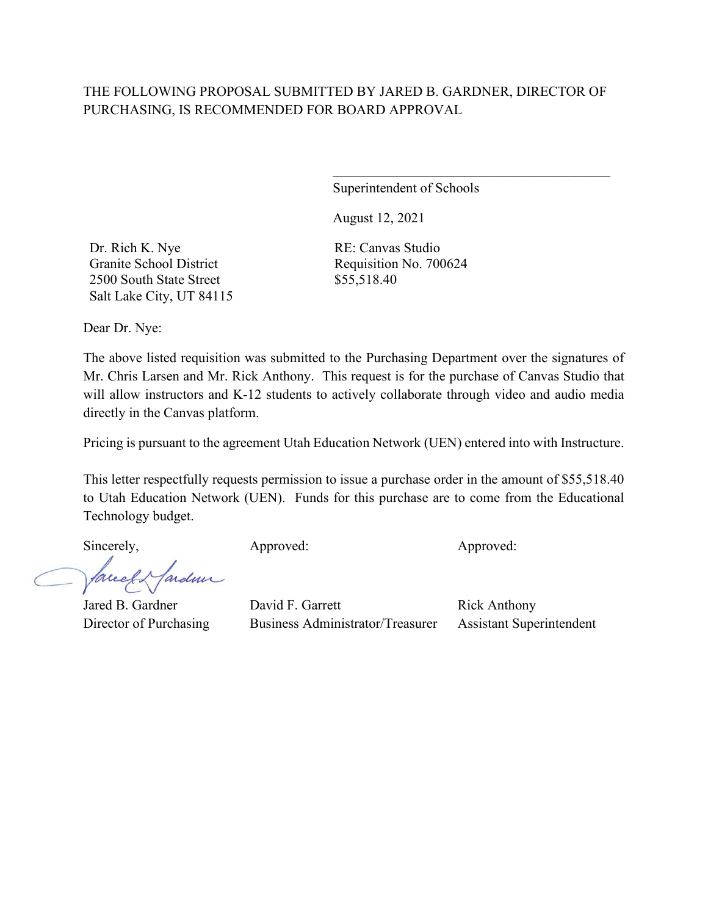# THE FOLLOWING PROPOSAL SUBMITTED BY JARED B. GARDNER, DIRECTOR OF PURCHASING, IS RECOMMENDED FOR BOARD APPROVAL

Superintendent of Schools

 $\mathcal{L}_\mathcal{L}$  , which is a set of the set of the set of the set of the set of the set of the set of the set of the set of the set of the set of the set of the set of the set of the set of the set of the set of the set of

August 12, 2021

Dr. Rich K. Nye Granite School District 2500 South State Street Salt Lake City, UT 84115 RE: Canvas Studio Requisition No. 700624 \$55,518.40

Dear Dr. Nye:

The above listed requisition was submitted to the Purchasing Department over the signatures of Mr. Chris Larsen and Mr. Rick Anthony. This request is for the purchase of Canvas Studio that will allow instructors and K-12 students to actively collaborate through video and audio media directly in the Canvas platform.

Pricing is pursuant to the agreement Utah Education Network (UEN) entered into with Instructure.

This letter respectfully requests permission to issue a purchase order in the amount of \$55,518.40 to Utah Education Network (UEN). Funds for this purchase are to come from the Educational Technology budget.

facely ardmir

Sincerely, Approved: Approved: Approved: Approved:

Jared B. Gardner David F. Garrett Rick Anthony Director of Purchasing Business Administrator/Treasurer Assistant Superintendent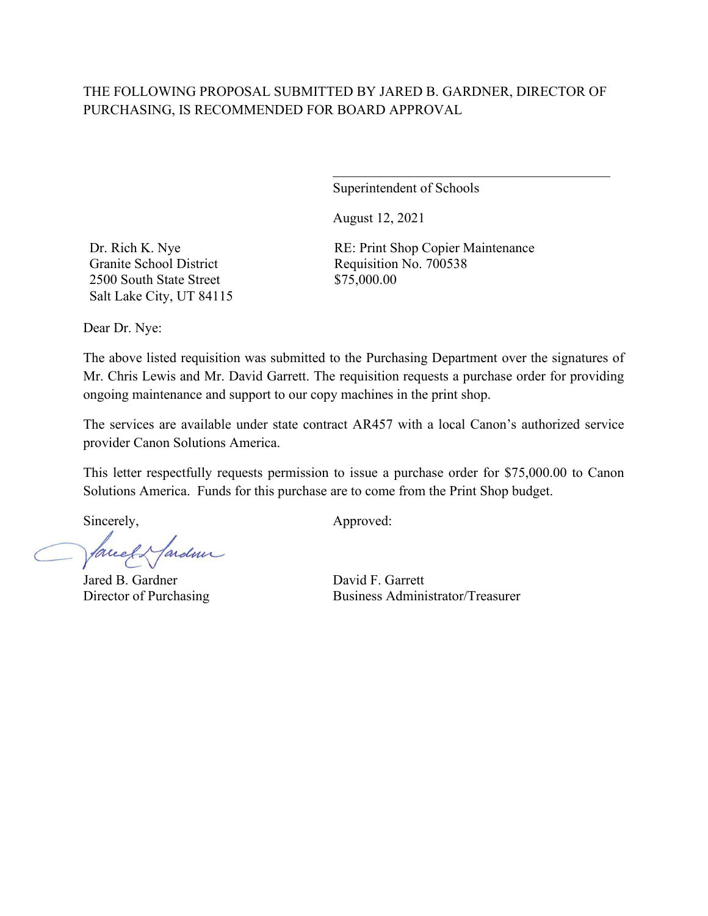# THE FOLLOWING PROPOSAL SUBMITTED BY JARED B. GARDNER, DIRECTOR OF PURCHASING, IS RECOMMENDED FOR BOARD APPROVAL

Superintendent of Schools

August 12, 2021

Dr. Rich K. Nye Granite School District 2500 South State Street Salt Lake City, UT 84115 RE: Print Shop Copier Maintenance Requisition No. 700538 \$75,000.00

 $\mathcal{L}_\mathcal{L}$  , which is a set of the set of the set of the set of the set of the set of the set of the set of the set of the set of the set of the set of the set of the set of the set of the set of the set of the set of

Dear Dr. Nye:

The above listed requisition was submitted to the Purchasing Department over the signatures of Mr. Chris Lewis and Mr. David Garrett. The requisition requests a purchase order for providing ongoing maintenance and support to our copy machines in the print shop.

The services are available under state contract AR457 with a local Canon's authorized service provider Canon Solutions America.

This letter respectfully requests permission to issue a purchase order for \$75,000.00 to Canon Solutions America. Funds for this purchase are to come from the Print Shop budget.

facely fardun

Jared B. Gardner David F. Garrett

Sincerely,  $\qquad \qquad \text{Approved:}$ 

Director of Purchasing Business Administrator/Treasurer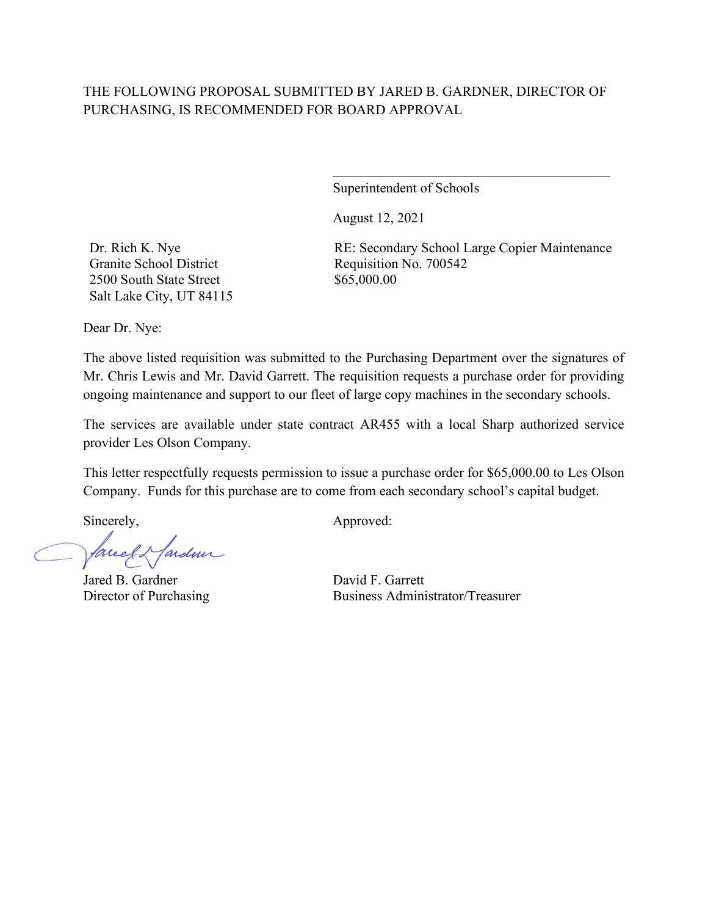# THE FOLLOWING PROPOSAL SUBMITTED BY JARED B. GARDNER, DIRECTOR OF PURCHASING, IS RECOMMENDED FOR BOARD APPROVAL

Superintendent of Schools

August 12, 2021

Dr. Rich K. Nye Granite School District 2500 South State Street Salt Lake City, UT 84115 RE: Secondary School Large Copier Maintenance Requisition No. 700542 \$65,000.00

 $\mathcal{L}_\mathcal{L}$  , which is a set of the set of the set of the set of the set of the set of the set of the set of the set of the set of the set of the set of the set of the set of the set of the set of the set of the set of

Dear Dr. Nye:

The above listed requisition was submitted to the Purchasing Department over the signatures of Mr. Chris Lewis and Mr. David Garrett. The requisition requests a purchase order for providing ongoing maintenance and support to our fleet of large copy machines in the secondary schools.

The services are available under state contract AR455 with a local Sharp authorized service provider Les Olson Company.

This letter respectfully requests permission to issue a purchase order for \$65,000.00 to Les Olson Company. Funds for this purchase are to come from each secondary school's capital budget.

facel Hardner

Jared B. Gardner David F. Garrett

Sincerely,  $\qquad \qquad \text{Approved:}$ 

Director of Purchasing Business Administrator/Treasurer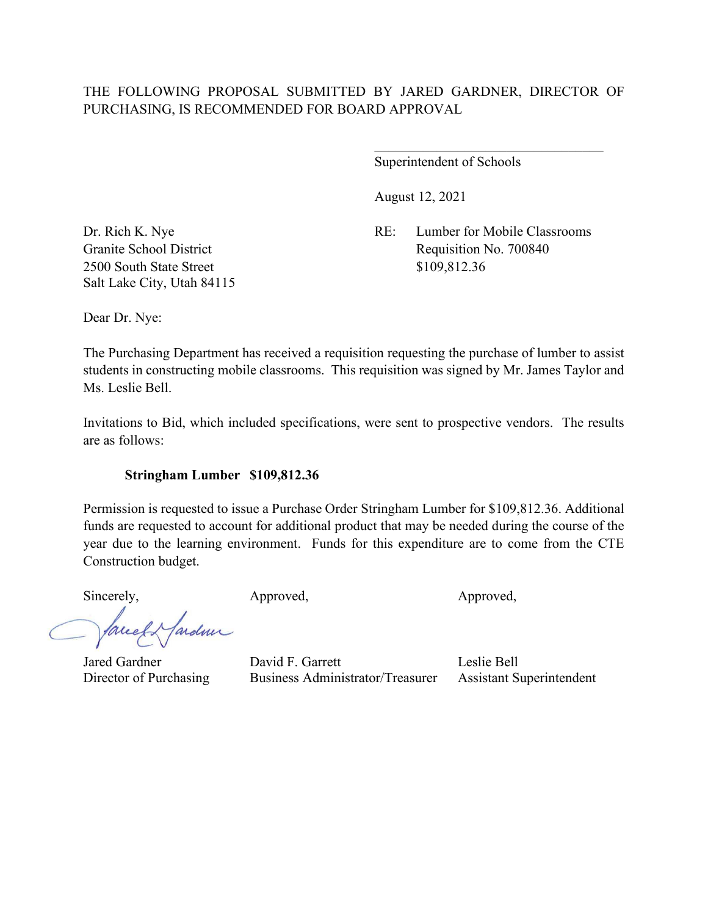Superintendent of Schools

August 12, 2021

Dr. Rich K. Nye RE: Lumber for Mobile Classrooms Granite School District Requisition No. 700840

 $\mathcal{L}_\mathcal{L}$  , where  $\mathcal{L}_\mathcal{L}$  , we have the set of the set of the set of the set of the set of the set of the set of the set of the set of the set of the set of the set of the set of the set of the set of the set

2500 South State Street \$109,812.36 Salt Lake City, Utah 84115

Dear Dr. Nye:

The Purchasing Department has received a requisition requesting the purchase of lumber to assist students in constructing mobile classrooms. This requisition was signed by Mr. James Taylor and Ms. Leslie Bell.

Invitations to Bid, which included specifications, were sent to prospective vendors. The results are as follows:

#### **Stringham Lumber \$109,812.36**

Permission is requested to issue a Purchase Order Stringham Lumber for \$109,812.36. Additional funds are requested to account for additional product that may be needed during the course of the year due to the learning environment. Funds for this expenditure are to come from the CTE Construction budget.

lardme facel.

Sincerely, Approved, Approved, Approved, Approved,

Jared Gardner David F. Garrett Leslie Bell Director of Purchasing Business Administrator/Treasurer Assistant Superintendent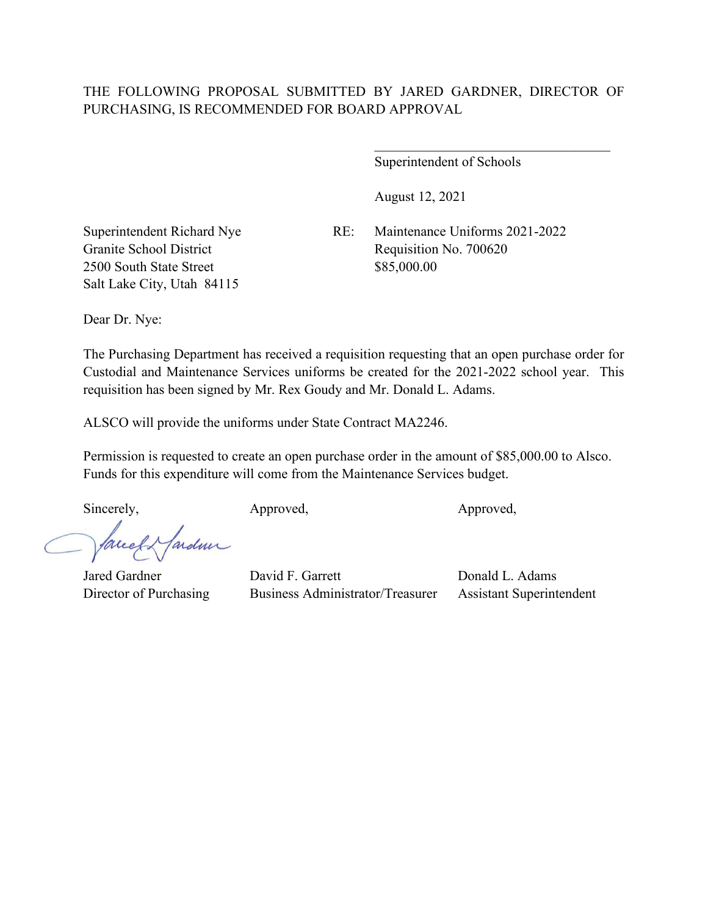Superintendent of Schools

 $\overline{\phantom{a}}$ 

August 12, 2021

2500 South State Street \$85,000.00 Salt Lake City, Utah 84115

Superintendent Richard Nye RE: Maintenance Uniforms 2021-2022 Granite School District Requisition No. 700620

Dear Dr. Nye:

The Purchasing Department has received a requisition requesting that an open purchase order for Custodial and Maintenance Services uniforms be created for the 2021-2022 school year. This requisition has been signed by Mr. Rex Goudy and Mr. Donald L. Adams.

ALSCO will provide the uniforms under State Contract MA2246.

Permission is requested to create an open purchase order in the amount of \$85,000.00 to Alsco. Funds for this expenditure will come from the Maintenance Services budget.

Sincerely, Approved, Approved, Approved, Approved,

fardun facel

Jared Gardner David F. Garrett Donald L. Adams Director of Purchasing Business Administrator/Treasurer Assistant Superintendent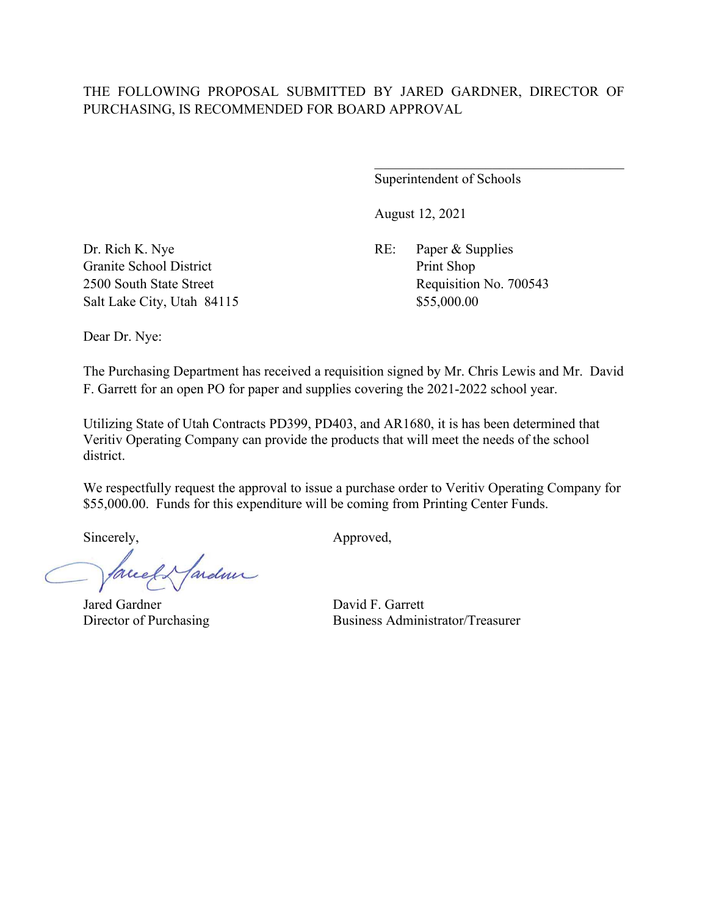### THE FOLLOWING PROPOSAL SUBMITTED BY JARED GARDNER, DIRECTOR OF PURCHASING, IS RECOMMENDED FOR BOARD APPROVAL

Superintendent of Schools

August 12, 2021

Dr. Rich K. Nye RE: Paper & Supplies Granite School District Print Shop Salt Lake City, Utah 84115 \$55,000.00

2500 South State Street Requisition No. 700543

Dear Dr. Nye:

The Purchasing Department has received a requisition signed by Mr. Chris Lewis and Mr. David F. Garrett for an open PO for paper and supplies covering the 2021-2022 school year.

Utilizing State of Utah Contracts PD399, PD403, and AR1680, it is has been determined that Veritiv Operating Company can provide the products that will meet the needs of the school district.

We respectfully request the approval to issue a purchase order to Veritiv Operating Company for \$55,000.00. Funds for this expenditure will be coming from Printing Center Funds.

Jarden Correct

Jared Gardner David F. Garrett

Sincerely, Approved,

Director of Purchasing Business Administrator/Treasurer